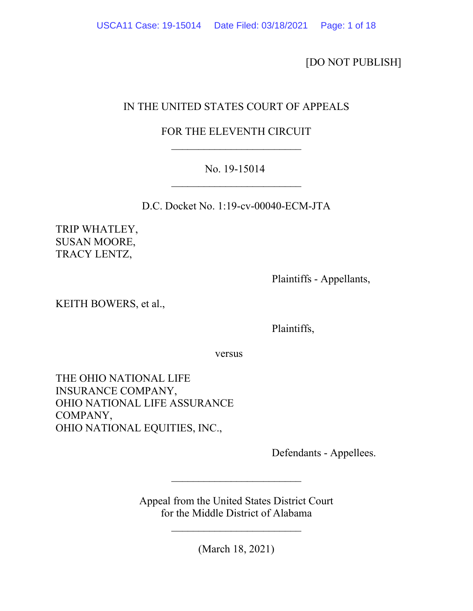[DO NOT PUBLISH]

# IN THE UNITED STATES COURT OF APPEALS

# FOR THE ELEVENTH CIRCUIT \_\_\_\_\_\_\_\_\_\_\_\_\_\_\_\_\_\_\_\_\_\_\_\_

## No. 19-15014 \_\_\_\_\_\_\_\_\_\_\_\_\_\_\_\_\_\_\_\_\_\_\_\_

D.C. Docket No. 1:19-cv-00040-ECM-JTA

TRIP WHATLEY, SUSAN MOORE, TRACY LENTZ,

Plaintiffs - Appellants,

KEITH BOWERS, et al.,

Plaintiffs,

versus versus

THE OHIO NATIONAL LIFE INSURANCE COMPANY, OHIO NATIONAL LIFE ASSURANCE COMPANY, OHIO NATIONAL EQUITIES, INC.,

Defendants - Appellees.

Appeal from the United States District Court for the Middle District of Alabama

\_\_\_\_\_\_\_\_\_\_\_\_\_\_\_\_\_\_\_\_\_\_\_\_

\_\_\_\_\_\_\_\_\_\_\_\_\_\_\_\_\_\_\_\_\_\_\_\_

(March 18, 2021)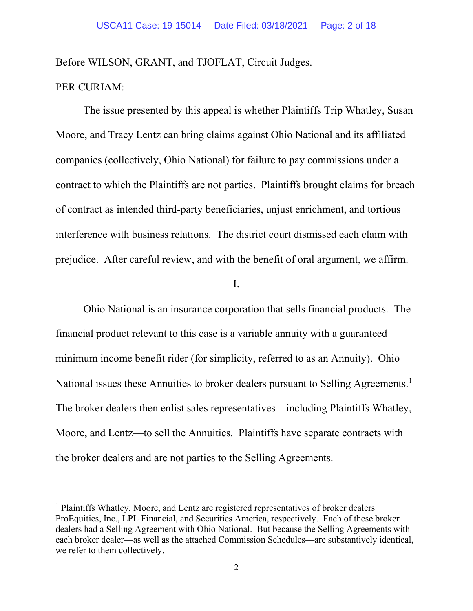Before WILSON, GRANT, and TJOFLAT, Circuit Judges.

## PER CURIAM:

The issue presented by this appeal is whether Plaintiffs Trip Whatley, Susan Moore, and Tracy Lentz can bring claims against Ohio National and its affiliated companies (collectively, Ohio National) for failure to pay commissions under a contract to which the Plaintiffs are not parties. Plaintiffs brought claims for breach of contract as intended third-party beneficiaries, unjust enrichment, and tortious interference with business relations. The district court dismissed each claim with prejudice. After careful review, and with the benefit of oral argument, we affirm.

I.

Ohio National is an insurance corporation that sells financial products. The financial product relevant to this case is a variable annuity with a guaranteed minimum income benefit rider (for simplicity, referred to as an Annuity). Ohio National issues these Annuities to broker dealers pursuant to Selling Agreements.<sup>[1](#page-1-0)</sup> The broker dealers then enlist sales representatives—including Plaintiffs Whatley, Moore, and Lentz—to sell the Annuities. Plaintiffs have separate contracts with the broker dealers and are not parties to the Selling Agreements.

<span id="page-1-0"></span><sup>&</sup>lt;sup>1</sup> Plaintiffs Whatley, Moore, and Lentz are registered representatives of broker dealers ProEquities, Inc., LPL Financial, and Securities America, respectively. Each of these broker dealers had a Selling Agreement with Ohio National. But because the Selling Agreements with each broker dealer—as well as the attached Commission Schedules—are substantively identical, we refer to them collectively.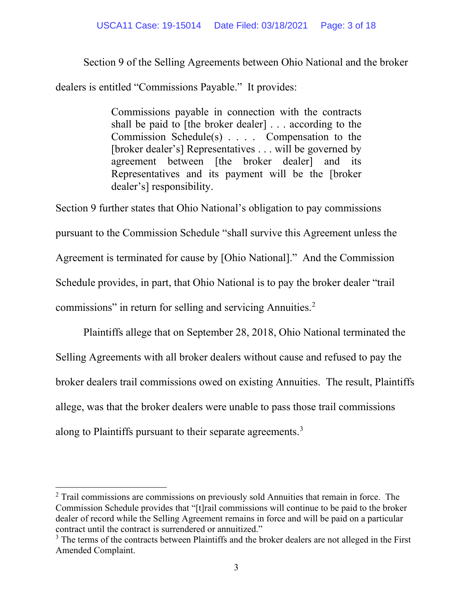### USCA11 Case: 19-15014 Date Filed: 03/18/2021 Page: 3 of 18

Section 9 of the Selling Agreements between Ohio National and the broker

dealers is entitled "Commissions Payable." It provides:

Commissions payable in connection with the contracts shall be paid to [the broker dealer] . . . according to the Commission Schedule(s) . . . . Compensation to the [broker dealer's] Representatives . . . will be governed by agreement between [the broker dealer] and its Representatives and its payment will be the [broker dealer's] responsibility.

Section 9 further states that Ohio National's obligation to pay commissions pursuant to the Commission Schedule "shall survive this Agreement unless the Agreement is terminated for cause by [Ohio National]." And the Commission Schedule provides, in part, that Ohio National is to pay the broker dealer "trail commissions" in return for selling and servicing Annuities.<sup>[2](#page-2-0)</sup>

Plaintiffs allege that on September 28, 2018, Ohio National terminated the Selling Agreements with all broker dealers without cause and refused to pay the broker dealers trail commissions owed on existing Annuities. The result, Plaintiffs allege, was that the broker dealers were unable to pass those trail commissions along to Plaintiffs pursuant to their separate agreements.[3](#page-2-1)

<span id="page-2-0"></span> $2$  Trail commissions are commissions on previously sold Annuities that remain in force. The Commission Schedule provides that "[t]rail commissions will continue to be paid to the broker dealer of record while the Selling Agreement remains in force and will be paid on a particular contract until the contract is surrendered or annuitized."

<span id="page-2-1"></span><sup>&</sup>lt;sup>3</sup> The terms of the contracts between Plaintiffs and the broker dealers are not alleged in the First Amended Complaint.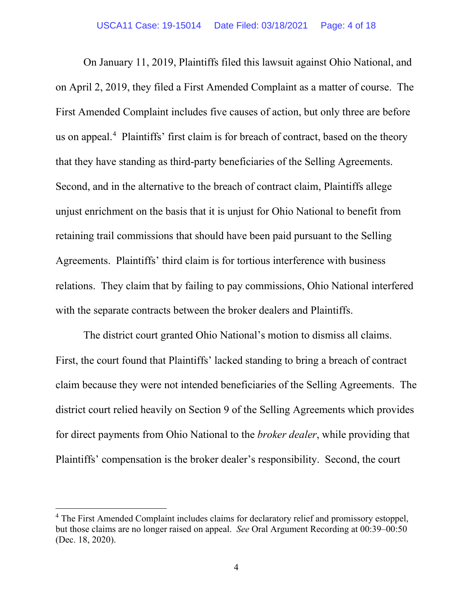On January 11, 2019, Plaintiffs filed this lawsuit against Ohio National, and on April 2, 2019, they filed a First Amended Complaint as a matter of course. The First Amended Complaint includes five causes of action, but only three are before us on appeal.<sup>[4](#page-3-0)</sup> Plaintiffs' first claim is for breach of contract, based on the theory that they have standing as third-party beneficiaries of the Selling Agreements. Second, and in the alternative to the breach of contract claim, Plaintiffs allege unjust enrichment on the basis that it is unjust for Ohio National to benefit from retaining trail commissions that should have been paid pursuant to the Selling Agreements. Plaintiffs' third claim is for tortious interference with business relations. They claim that by failing to pay commissions, Ohio National interfered with the separate contracts between the broker dealers and Plaintiffs.

The district court granted Ohio National's motion to dismiss all claims. First, the court found that Plaintiffs' lacked standing to bring a breach of contract claim because they were not intended beneficiaries of the Selling Agreements. The district court relied heavily on Section 9 of the Selling Agreements which provides for direct payments from Ohio National to the *broker dealer*, while providing that Plaintiffs' compensation is the broker dealer's responsibility. Second, the court

<span id="page-3-0"></span><sup>&</sup>lt;sup>4</sup> The First Amended Complaint includes claims for declaratory relief and promissory estoppel, but those claims are no longer raised on appeal. *See* Oral Argument Recording at 00:39–00:50 (Dec. 18, 2020).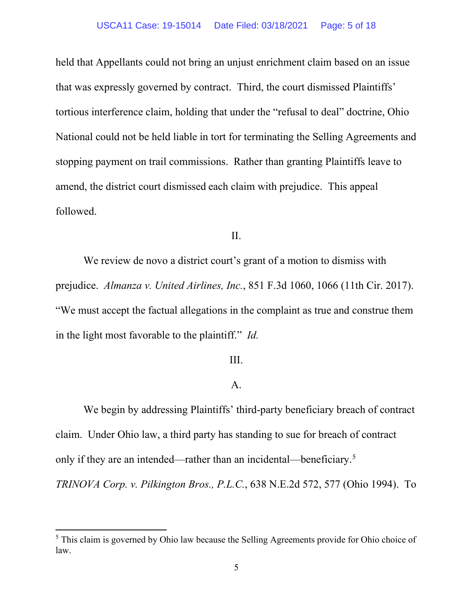held that Appellants could not bring an unjust enrichment claim based on an issue that was expressly governed by contract. Third, the court dismissed Plaintiffs' tortious interference claim, holding that under the "refusal to deal" doctrine, Ohio National could not be held liable in tort for terminating the Selling Agreements and stopping payment on trail commissions. Rather than granting Plaintiffs leave to amend, the district court dismissed each claim with prejudice. This appeal followed.

II.

We review de novo a district court's grant of a motion to dismiss with prejudice. *Almanza v. United Airlines, Inc.*, 851 F.3d 1060, 1066 (11th Cir. 2017). "We must accept the factual allegations in the complaint as true and construe them in the light most favorable to the plaintiff." *Id.* 

## III.

## A.

We begin by addressing Plaintiffs' third-party beneficiary breach of contract claim. Under Ohio law, a third party has standing to sue for breach of contract only if they are an intended—rather than an incidental—beneficiary.<sup>[5](#page-4-0)</sup> *TRINOVA Corp. v. Pilkington Bros., P.L.C.*, 638 N.E.2d 572, 577 (Ohio 1994). To

<span id="page-4-0"></span><sup>&</sup>lt;sup>5</sup> This claim is governed by Ohio law because the Selling Agreements provide for Ohio choice of law.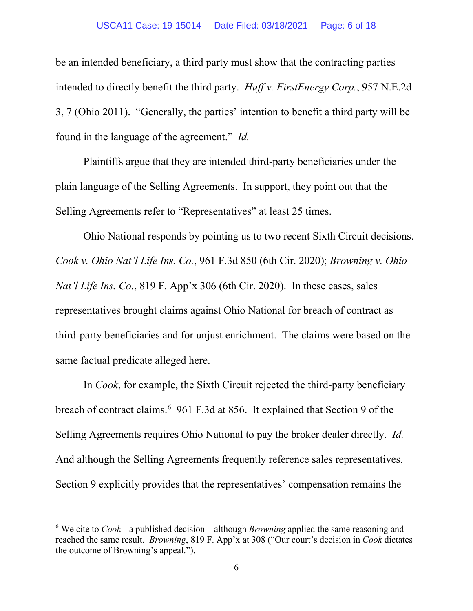### USCA11 Case: 19-15014 Date Filed: 03/18/2021 Page: 6 of 18

be an intended beneficiary, a third party must show that the contracting parties intended to directly benefit the third party. *Huff v. FirstEnergy Corp.*, 957 N.E.2d 3, 7 (Ohio 2011). "Generally, the parties' intention to benefit a third party will be found in the language of the agreement." *Id.*

Plaintiffs argue that they are intended third-party beneficiaries under the plain language of the Selling Agreements. In support, they point out that the Selling Agreements refer to "Representatives" at least 25 times.

Ohio National responds by pointing us to two recent Sixth Circuit decisions. *Cook v. Ohio Nat'l Life Ins. Co.*, 961 F.3d 850 (6th Cir. 2020); *Browning v. Ohio Nat'l Life Ins. Co.*, 819 F. App'x 306 (6th Cir. 2020). In these cases, sales representatives brought claims against Ohio National for breach of contract as third-party beneficiaries and for unjust enrichment. The claims were based on the same factual predicate alleged here.

In *Cook*, for example, the Sixth Circuit rejected the third-party beneficiary breach of contract claims.<sup>[6](#page-5-0)</sup> 961 F.3d at 856. It explained that Section 9 of the Selling Agreements requires Ohio National to pay the broker dealer directly. *Id.* And although the Selling Agreements frequently reference sales representatives, Section 9 explicitly provides that the representatives' compensation remains the

<span id="page-5-0"></span><sup>6</sup> We cite to *Cook—*a published decision—although *Browning* applied the same reasoning and reached the same result. *Browning*, 819 F. App'x at 308 ("Our court's decision in *Cook* dictates the outcome of Browning's appeal.").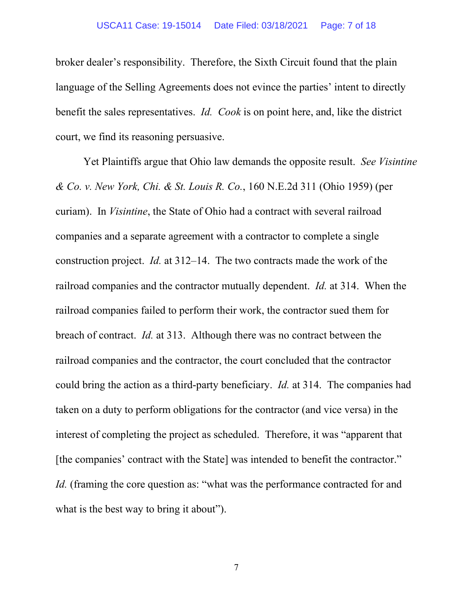#### USCA11 Case: 19-15014 Date Filed: 03/18/2021 Page: 7 of 18

broker dealer's responsibility. Therefore, the Sixth Circuit found that the plain language of the Selling Agreements does not evince the parties' intent to directly benefit the sales representatives. *Id. Cook* is on point here, and, like the district court, we find its reasoning persuasive.

Yet Plaintiffs argue that Ohio law demands the opposite result. *See Visintine & Co. v. New York, Chi. & St. Louis R. Co.*, 160 N.E.2d 311 (Ohio 1959) (per curiam). In *Visintine*, the State of Ohio had a contract with several railroad companies and a separate agreement with a contractor to complete a single construction project. *Id.* at 312–14. The two contracts made the work of the railroad companies and the contractor mutually dependent. *Id.* at 314. When the railroad companies failed to perform their work, the contractor sued them for breach of contract. *Id.* at 313. Although there was no contract between the railroad companies and the contractor, the court concluded that the contractor could bring the action as a third-party beneficiary. *Id.* at 314.The companies had taken on a duty to perform obligations for the contractor (and vice versa) in the interest of completing the project as scheduled. Therefore, it was "apparent that [the companies' contract with the State] was intended to benefit the contractor." *Id.* (framing the core question as: "what was the performance contracted for and what is the best way to bring it about").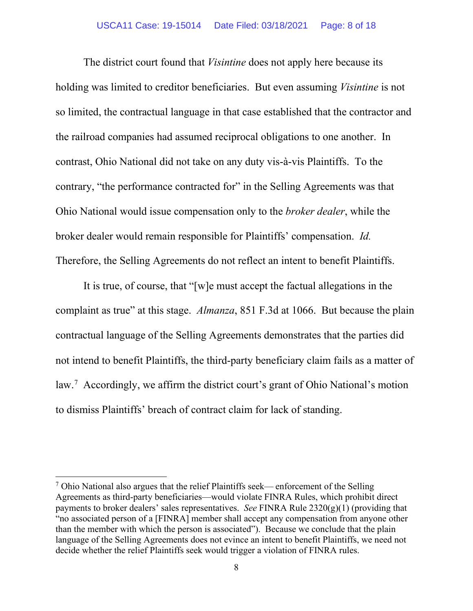The district court found that *Visintine* does not apply here because its holding was limited to creditor beneficiaries. But even assuming *Visintine* is not so limited, the contractual language in that case established that the contractor and the railroad companies had assumed reciprocal obligations to one another. In contrast, Ohio National did not take on any duty vis-à-vis Plaintiffs. To the contrary, "the performance contracted for" in the Selling Agreements was that Ohio National would issue compensation only to the *broker dealer*, while the broker dealer would remain responsible for Plaintiffs' compensation. *Id.* Therefore, the Selling Agreements do not reflect an intent to benefit Plaintiffs.

It is true, of course, that "[w]e must accept the factual allegations in the complaint as true" at this stage. *Almanza*, 851 F.3d at 1066. But because the plain contractual language of the Selling Agreements demonstrates that the parties did not intend to benefit Plaintiffs, the third-party beneficiary claim fails as a matter of law.[7](#page-7-0) Accordingly, we affirm the district court's grant of Ohio National's motion to dismiss Plaintiffs' breach of contract claim for lack of standing.

<span id="page-7-0"></span> $<sup>7</sup>$  Ohio National also argues that the relief Plaintiffs seek— enforcement of the Selling</sup> Agreements as third-party beneficiaries—would violate FINRA Rules, which prohibit direct payments to broker dealers' sales representatives. *See* FINRA Rule  $2320(g)(1)$  (providing that "no associated person of a [FINRA] member shall accept any compensation from anyone other than the member with which the person is associated"). Because we conclude that the plain language of the Selling Agreements does not evince an intent to benefit Plaintiffs, we need not decide whether the relief Plaintiffs seek would trigger a violation of FINRA rules.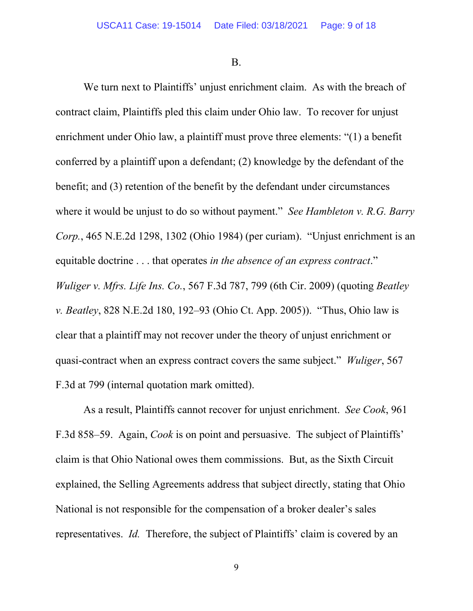B.

We turn next to Plaintiffs' unjust enrichment claim. As with the breach of contract claim, Plaintiffs pled this claim under Ohio law. To recover for unjust enrichment under Ohio law, a plaintiff must prove three elements: "(1) a benefit conferred by a plaintiff upon a defendant; (2) knowledge by the defendant of the benefit; and (3) retention of the benefit by the defendant under circumstances where it would be unjust to do so without payment." *See Hambleton v. R.G. Barry Corp.*, 465 N.E.2d 1298, 1302 (Ohio 1984) (per curiam). "Unjust enrichment is an equitable doctrine . . . that operates *in the absence of an express contract*." *Wuliger v. Mfrs. Life Ins. Co.*, 567 F.3d 787, 799 (6th Cir. 2009) (quoting *Beatley v. Beatley*, 828 N.E.2d 180, 192–93 (Ohio Ct. App. 2005)). "Thus, Ohio law is clear that a plaintiff may not recover under the theory of unjust enrichment or quasi-contract when an express contract covers the same subject." *Wuliger*, 567 F.3d at 799 (internal quotation mark omitted).

As a result, Plaintiffs cannot recover for unjust enrichment. *See Cook*, 961 F.3d 858–59. Again, *Cook* is on point and persuasive. The subject of Plaintiffs' claim is that Ohio National owes them commissions. But, as the Sixth Circuit explained, the Selling Agreements address that subject directly, stating that Ohio National is not responsible for the compensation of a broker dealer's sales representatives. *Id.* Therefore, the subject of Plaintiffs' claim is covered by an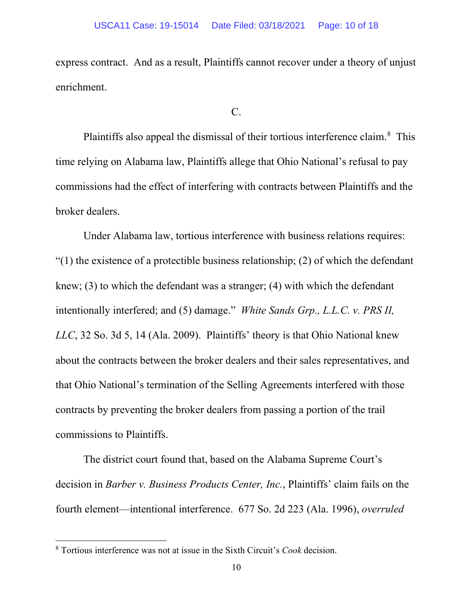express contract. And as a result, Plaintiffs cannot recover under a theory of unjust enrichment.

 $C_{\cdot}$ 

Plaintiffs also appeal the dismissal of their tortious interference claim.<sup>[8](#page-9-0)</sup> This time relying on Alabama law, Plaintiffs allege that Ohio National's refusal to pay commissions had the effect of interfering with contracts between Plaintiffs and the broker dealers.

Under Alabama law, tortious interference with business relations requires: " $(1)$  the existence of a protectible business relationship;  $(2)$  of which the defendant knew; (3) to which the defendant was a stranger; (4) with which the defendant intentionally interfered; and (5) damage." *White Sands Grp., L.L.C. v. PRS II, LLC*, 32 So. 3d 5, 14 (Ala. 2009). Plaintiffs' theory is that Ohio National knew about the contracts between the broker dealers and their sales representatives, and that Ohio National's termination of the Selling Agreements interfered with those contracts by preventing the broker dealers from passing a portion of the trail commissions to Plaintiffs.

The district court found that, based on the Alabama Supreme Court's decision in *Barber v. Business Products Center, Inc.*, Plaintiffs' claim fails on the fourth element—intentional interference. 677 So. 2d 223 (Ala. 1996), *overruled* 

<span id="page-9-0"></span><sup>8</sup> Tortious interference was not at issue in the Sixth Circuit's *Cook* decision.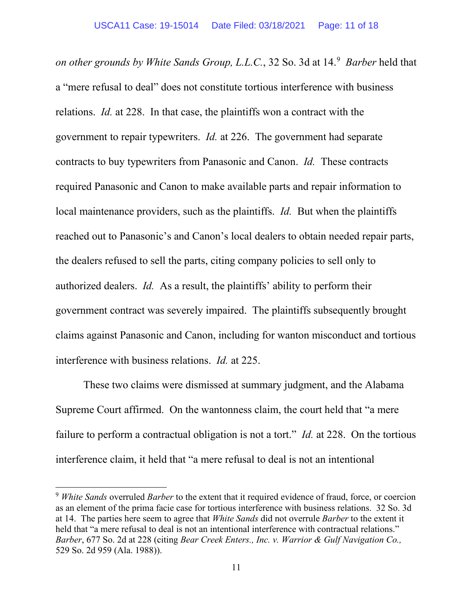*on other grounds by White Sands Group, L.L.C.*, 32 So. 3d at 14. [9](#page-10-0) *Barber* held that a "mere refusal to deal" does not constitute tortious interference with business relations. *Id.* at 228. In that case, the plaintiffs won a contract with the government to repair typewriters. *Id.* at 226. The government had separate contracts to buy typewriters from Panasonic and Canon. *Id.* These contracts required Panasonic and Canon to make available parts and repair information to local maintenance providers, such as the plaintiffs. *Id.* But when the plaintiffs reached out to Panasonic's and Canon's local dealers to obtain needed repair parts, the dealers refused to sell the parts, citing company policies to sell only to authorized dealers. *Id.* As a result, the plaintiffs' ability to perform their government contract was severely impaired. The plaintiffs subsequently brought claims against Panasonic and Canon, including for wanton misconduct and tortious interference with business relations. *Id.* at 225.

These two claims were dismissed at summary judgment, and the Alabama Supreme Court affirmed. On the wantonness claim, the court held that "a mere failure to perform a contractual obligation is not a tort." *Id.* at 228. On the tortious interference claim, it held that "a mere refusal to deal is not an intentional

<span id="page-10-0"></span><sup>9</sup> *White Sands* overruled *Barber* to the extent that it required evidence of fraud, force, or coercion as an element of the prima facie case for tortious interference with business relations. 32 So. 3d at 14. The parties here seem to agree that *White Sands* did not overrule *Barber* to the extent it held that "a mere refusal to deal is not an intentional interference with contractual relations." *Barber*, 677 So. 2d at 228 (citing *Bear Creek Enters., Inc. v. Warrior & Gulf Navigation Co.,* 529 So. 2d 959 (Ala. 1988)).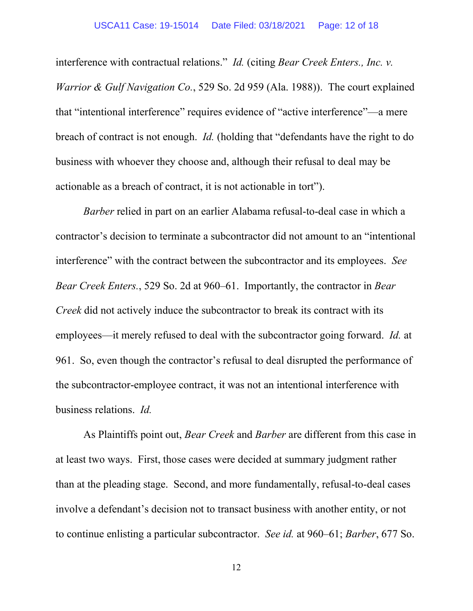interference with contractual relations." *Id.* (citing *Bear Creek Enters., Inc. v. Warrior & Gulf Navigation Co.*, 529 So. 2d 959 (Ala. 1988)). The court explained that "intentional interference" requires evidence of "active interference"—a mere breach of contract is not enough. *Id.* (holding that "defendants have the right to do business with whoever they choose and, although their refusal to deal may be actionable as a breach of contract, it is not actionable in tort").

*Barber* relied in part on an earlier Alabama refusal-to-deal case in which a contractor's decision to terminate a subcontractor did not amount to an "intentional interference" with the contract between the subcontractor and its employees. *See Bear Creek Enters.*, 529 So. 2d at 960–61. Importantly, the contractor in *Bear Creek* did not actively induce the subcontractor to break its contract with its employees—it merely refused to deal with the subcontractor going forward. *Id.* at 961.So, even though the contractor's refusal to deal disrupted the performance of the subcontractor-employee contract, it was not an intentional interference with business relations. *Id.* 

As Plaintiffs point out, *Bear Creek* and *Barber* are different from this case in at least two ways. First, those cases were decided at summary judgment rather than at the pleading stage. Second, and more fundamentally, refusal-to-deal cases involve a defendant's decision not to transact business with another entity, or not to continue enlisting a particular subcontractor. *See id.* at 960–61; *Barber*, 677 So.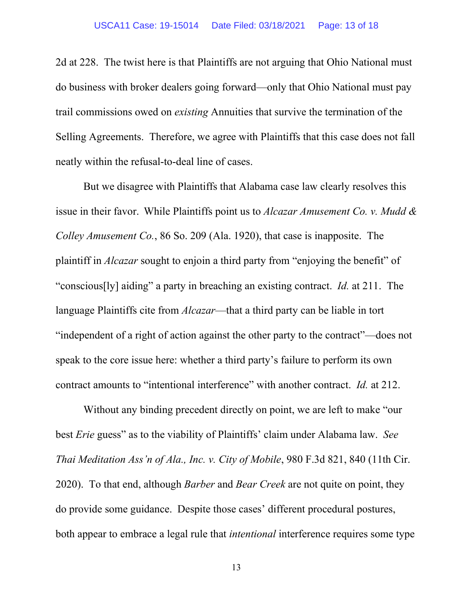2d at 228. The twist here is that Plaintiffs are not arguing that Ohio National must do business with broker dealers going forward—only that Ohio National must pay trail commissions owed on *existing* Annuities that survive the termination of the Selling Agreements. Therefore, we agree with Plaintiffs that this case does not fall neatly within the refusal-to-deal line of cases.

But we disagree with Plaintiffs that Alabama case law clearly resolves this issue in their favor. While Plaintiffs point us to *Alcazar Amusement Co. v. Mudd & Colley Amusement Co.*, 86 So. 209 (Ala. 1920), that case is inapposite. The plaintiff in *Alcazar* sought to enjoin a third party from "enjoying the benefit" of "conscious[ly] aiding" a party in breaching an existing contract. *Id.* at 211. The language Plaintiffs cite from *Alcazar*—that a third party can be liable in tort "independent of a right of action against the other party to the contract"—does not speak to the core issue here: whether a third party's failure to perform its own contract amounts to "intentional interference" with another contract. *Id.* at 212.

Without any binding precedent directly on point, we are left to make "our best *Erie* guess" as to the viability of Plaintiffs' claim under Alabama law. *See Thai Meditation Ass'n of Ala., Inc. v. City of Mobile*, 980 F.3d 821, 840 (11th Cir. 2020). To that end, although *Barber* and *Bear Creek* are not quite on point, they do provide some guidance. Despite those cases' different procedural postures, both appear to embrace a legal rule that *intentional* interference requires some type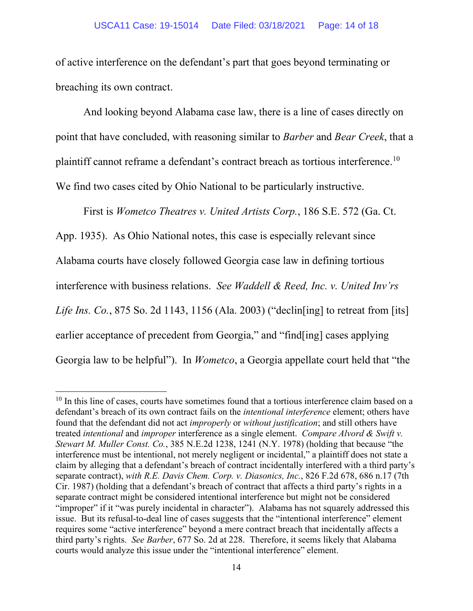of active interference on the defendant's part that goes beyond terminating or breaching its own contract.

And looking beyond Alabama case law, there is a line of cases directly on point that have concluded, with reasoning similar to *Barber* and *Bear Creek*, that a plaintiff cannot reframe a defendant's contract breach as tortious interference.[10](#page-13-0)  We find two cases cited by Ohio National to be particularly instructive.

First is *Wometco Theatres v. United Artists Corp.*, 186 S.E. 572 (Ga. Ct.

App. 1935). As Ohio National notes, this case is especially relevant since Alabama courts have closely followed Georgia case law in defining tortious interference with business relations. *See Waddell & Reed, Inc. v. United Inv'rs Life Ins. Co.*, 875 So. 2d 1143, 1156 (Ala. 2003) ("declin[ing] to retreat from [its] earlier acceptance of precedent from Georgia," and "find[ing] cases applying Georgia law to be helpful"). In *Wometco*, a Georgia appellate court held that "the

<span id="page-13-0"></span> $10$  In this line of cases, courts have sometimes found that a tortious interference claim based on a defendant's breach of its own contract fails on the *intentional interference* element; others have found that the defendant did not act *improperly* or *without justification*; and still others have treated *intentional* and *improper* interference as a single element. *Compare Alvord & Swift v. Stewart M. Muller Const. Co.*, 385 N.E.2d 1238, 1241 (N.Y. 1978) (holding that because "the interference must be intentional, not merely negligent or incidental," a plaintiff does not state a claim by alleging that a defendant's breach of contract incidentally interfered with a third party's separate contract), *with R.E. Davis Chem. Corp. v. Diasonics, Inc.*, 826 F.2d 678, 686 n.17 (7th Cir. 1987) (holding that a defendant's breach of contract that affects a third party's rights in a separate contract might be considered intentional interference but might not be considered "improper" if it "was purely incidental in character"). Alabama has not squarely addressed this issue. But its refusal-to-deal line of cases suggests that the "intentional interference" element requires some "active interference" beyond a mere contract breach that incidentally affects a third party's rights. *See Barber*, 677 So. 2d at 228. Therefore, it seems likely that Alabama courts would analyze this issue under the "intentional interference" element.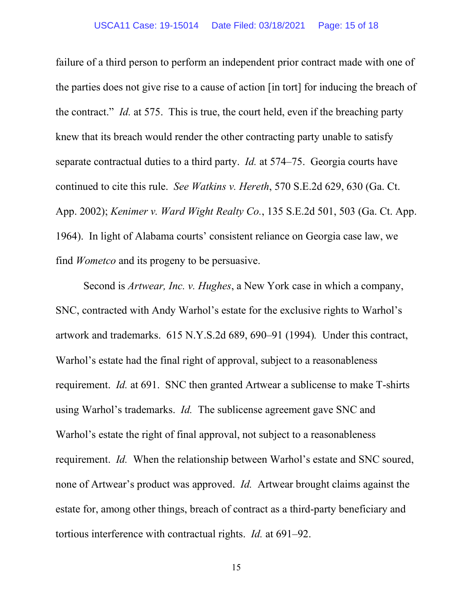failure of a third person to perform an independent prior contract made with one of the parties does not give rise to a cause of action [in tort] for inducing the breach of the contract." *Id.* at 575. This is true, the court held, even if the breaching party knew that its breach would render the other contracting party unable to satisfy separate contractual duties to a third party. *Id.* at 574–75. Georgia courts have continued to cite this rule. *See Watkins v. Hereth*, 570 S.E.2d 629, 630 (Ga. Ct. App. 2002); *Kenimer v. Ward Wight Realty Co.*, 135 S.E.2d 501, 503 (Ga. Ct. App. 1964). In light of Alabama courts' consistent reliance on Georgia case law, we find *Wometco* and its progeny to be persuasive.

Second is *Artwear, Inc. v. Hughes*, a New York case in which a company, SNC, contracted with Andy Warhol's estate for the exclusive rights to Warhol's artwork and trademarks. 615 N.Y.S.2d 689, 690–91 (1994)*.* Under this contract, Warhol's estate had the final right of approval, subject to a reasonableness requirement. *Id.* at 691. SNC then granted Artwear a sublicense to make T-shirts using Warhol's trademarks. *Id.* The sublicense agreement gave SNC and Warhol's estate the right of final approval, not subject to a reasonableness requirement. *Id.* When the relationship between Warhol's estate and SNC soured, none of Artwear's product was approved. *Id.* Artwear brought claims against the estate for, among other things, breach of contract as a third-party beneficiary and tortious interference with contractual rights. *Id.* at 691–92.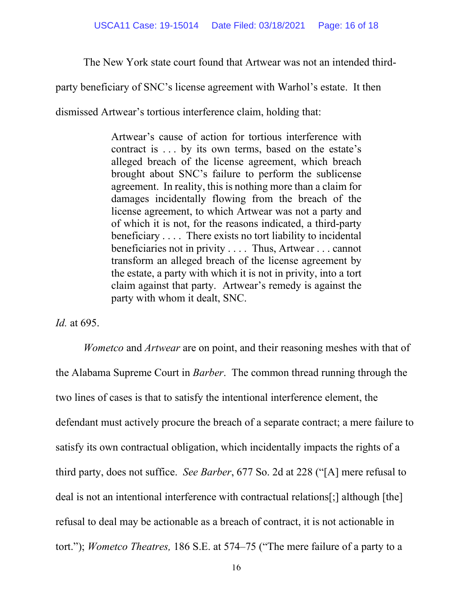The New York state court found that Artwear was not an intended third-

party beneficiary of SNC's license agreement with Warhol's estate. It then

dismissed Artwear's tortious interference claim, holding that:

Artwear's cause of action for tortious interference with contract is . . . by its own terms, based on the estate's alleged breach of the license agreement, which breach brought about SNC's failure to perform the sublicense agreement. In reality, this is nothing more than a claim for damages incidentally flowing from the breach of the license agreement, to which Artwear was not a party and of which it is not, for the reasons indicated, a third-party beneficiary . . . . There exists no tort liability to incidental beneficiaries not in privity . . . . Thus, Artwear . . . cannot transform an alleged breach of the license agreement by the estate, a party with which it is not in privity, into a tort claim against that party. Artwear's remedy is against the party with whom it dealt, SNC.

*Id.* at 695.

*Wometco* and *Artwear* are on point, and their reasoning meshes with that of the Alabama Supreme Court in *Barber*. The common thread running through the two lines of cases is that to satisfy the intentional interference element, the defendant must actively procure the breach of a separate contract; a mere failure to satisfy its own contractual obligation, which incidentally impacts the rights of a third party, does not suffice. *See Barber*, 677 So. 2d at 228 ("[A] mere refusal to deal is not an intentional interference with contractual relations[;] although [the] refusal to deal may be actionable as a breach of contract, it is not actionable in tort."); *Wometco Theatres,* 186 S.E. at 574–75 ("The mere failure of a party to a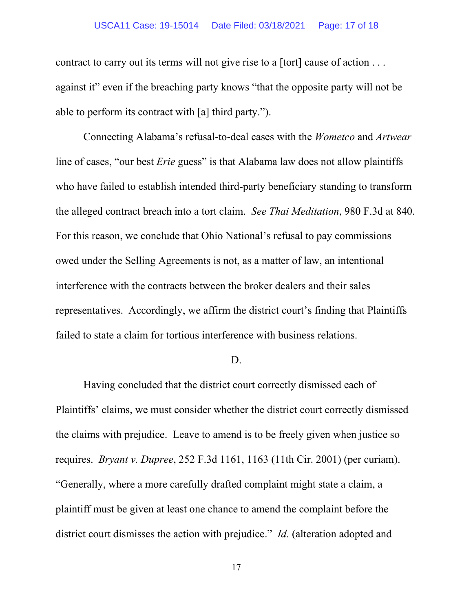### USCA11 Case: 19-15014 Date Filed: 03/18/2021 Page: 17 of 18

contract to carry out its terms will not give rise to a [tort] cause of action . . . against it" even if the breaching party knows "that the opposite party will not be able to perform its contract with [a] third party.").

Connecting Alabama's refusal-to-deal cases with the *Wometco* and *Artwear*  line of cases, "our best *Erie* guess" is that Alabama law does not allow plaintiffs who have failed to establish intended third-party beneficiary standing to transform the alleged contract breach into a tort claim. *See Thai Meditation*, 980 F.3d at 840. For this reason, we conclude that Ohio National's refusal to pay commissions owed under the Selling Agreements is not, as a matter of law, an intentional interference with the contracts between the broker dealers and their sales representatives. Accordingly, we affirm the district court's finding that Plaintiffs failed to state a claim for tortious interference with business relations.

#### D.

Having concluded that the district court correctly dismissed each of Plaintiffs' claims, we must consider whether the district court correctly dismissed the claims with prejudice. Leave to amend is to be freely given when justice so requires. *Bryant v. Dupree*, 252 F.3d 1161, 1163 (11th Cir. 2001) (per curiam). "Generally, where a more carefully drafted complaint might state a claim, a plaintiff must be given at least one chance to amend the complaint before the district court dismisses the action with prejudice." *Id.* (alteration adopted and